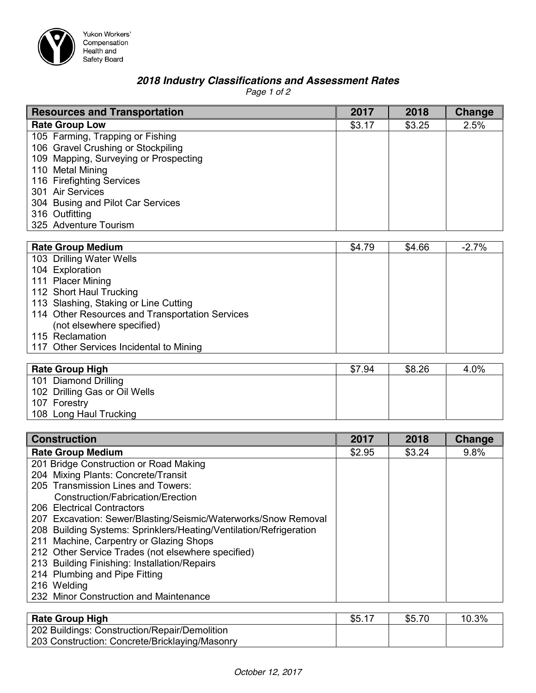

Yukon Workers'<br>Compensation<br>Health and<br>Safety Board

## *2018 Industry Classifications and Assessment Rates*

*Page 1 of 2*

| <b>Resources and Transportation</b>   | 2017   | 2018   | <b>Change</b> |
|---------------------------------------|--------|--------|---------------|
| <b>Rate Group Low</b>                 | \$3.17 | \$3.25 | 2.5%          |
| 105 Farming, Trapping or Fishing      |        |        |               |
| 106 Gravel Crushing or Stockpiling    |        |        |               |
| 109 Mapping, Surveying or Prospecting |        |        |               |
| 110 Metal Mining                      |        |        |               |
| 116 Firefighting Services             |        |        |               |
| 301 Air Services                      |        |        |               |
| 304 Busing and Pilot Car Services     |        |        |               |
| 316 Outfitting                        |        |        |               |
| 325 Adventure Tourism                 |        |        |               |

| <b>Rate Group Medium</b>                        | \$4.79 | \$4.66 | $-2.7%$ |
|-------------------------------------------------|--------|--------|---------|
| 103 Drilling Water Wells                        |        |        |         |
| 104 Exploration                                 |        |        |         |
| 111 Placer Mining                               |        |        |         |
| 112 Short Haul Trucking                         |        |        |         |
| 113 Slashing, Staking or Line Cutting           |        |        |         |
| 114 Other Resources and Transportation Services |        |        |         |
| (not elsewhere specified)                       |        |        |         |
| 115 Reclamation                                 |        |        |         |
| 117 Other Services Incidental to Mining         |        |        |         |
|                                                 |        |        |         |

| <b>Rate Group High</b>        | \$7.94 | \$8.26 | 4.0% |
|-------------------------------|--------|--------|------|
| 101 Diamond Drilling          |        |        |      |
| 102 Drilling Gas or Oil Wells |        |        |      |
| 107 Forestry                  |        |        |      |
| 108 Long Haul Trucking        |        |        |      |

| <b>Construction</b>                                                | 2017   | 2018   | <b>Change</b> |
|--------------------------------------------------------------------|--------|--------|---------------|
| <b>Rate Group Medium</b>                                           | \$2.95 | \$3.24 | 9.8%          |
| 201 Bridge Construction or Road Making                             |        |        |               |
| 204 Mixing Plants: Concrete/Transit                                |        |        |               |
| 205 Transmission Lines and Towers:                                 |        |        |               |
| Construction/Fabrication/Erection                                  |        |        |               |
| 206 Electrical Contractors                                         |        |        |               |
| 207 Excavation: Sewer/Blasting/Seismic/Waterworks/Snow Removal     |        |        |               |
| 208 Building Systems: Sprinklers/Heating/Ventilation/Refrigeration |        |        |               |
| 211 Machine, Carpentry or Glazing Shops                            |        |        |               |
| 212 Other Service Trades (not elsewhere specified)                 |        |        |               |
| 213 Building Finishing: Installation/Repairs                       |        |        |               |
| 214 Plumbing and Pipe Fitting                                      |        |        |               |
| 216 Welding                                                        |        |        |               |
| 232 Minor Construction and Maintenance                             |        |        |               |

| <b>Rate Group High</b>                         | \$5.17 | \$5.70 | 10.3% |
|------------------------------------------------|--------|--------|-------|
| 202 Buildings: Construction/Repair/Demolition  |        |        |       |
| 203 Construction: Concrete/Bricklaying/Masonry |        |        |       |